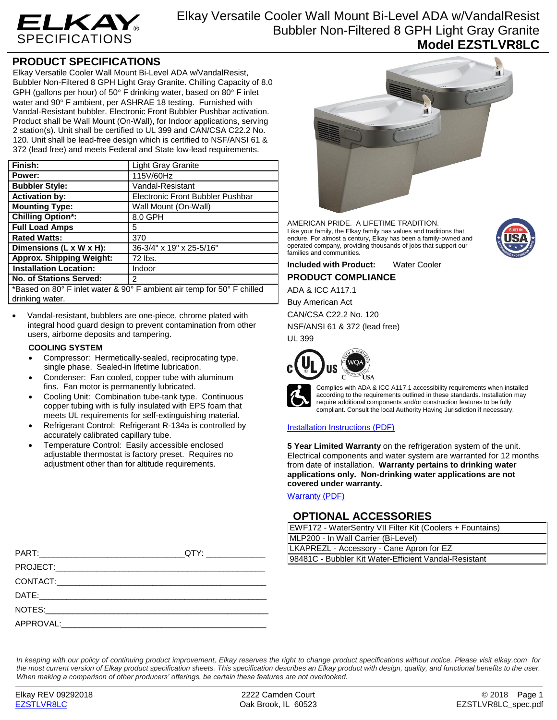

Elkay Versatile Cooler Wall Mount Bi-Level ADA w/VandalResist Bubbler Non-Filtered 8 GPH Light Gray Granite **Model EZSTLVR8LC**

## **PRODUCT SPECIFICATIONS**

Elkay Versatile Cooler Wall Mount Bi-Level ADA w/VandalResist, Bubbler Non-Filtered 8 GPH Light Gray Granite. Chilling Capacity of 8.0 GPH (gallons per hour) of 50 $\degree$  F drinking water, based on 80 $\degree$  F inlet water and 90° F ambient, per ASHRAE 18 testing. Furnished with Vandal-Resistant bubbler. Electronic Front Bubbler Pushbar activation. Product shall be Wall Mount (On-Wall), for Indoor applications, serving 2 station(s). Unit shall be certified to UL 399 and CAN/CSA C22.2 No. 120. Unit shall be lead-free design which is certified to NSF/ANSI 61 & 372 (lead free) and meets Federal and State low-lead requirements.

| Finish:                                                                | <b>Light Gray Granite</b>        |  |
|------------------------------------------------------------------------|----------------------------------|--|
| Power:                                                                 | 115V/60Hz                        |  |
| <b>Bubbler Style:</b>                                                  | Vandal-Resistant                 |  |
| <b>Activation by:</b>                                                  | Electronic Front Bubbler Pushbar |  |
| <b>Mounting Type:</b>                                                  | Wall Mount (On-Wall)             |  |
| <b>Chilling Option*:</b>                                               | 8.0 GPH                          |  |
| <b>Full Load Amps</b>                                                  | 5                                |  |
| <b>Rated Watts:</b>                                                    | 370                              |  |
| Dimensions $(L \times W \times H)$ :                                   | 36-3/4" x 19" x 25-5/16"         |  |
| <b>Approx. Shipping Weight:</b>                                        | 72 lbs.                          |  |
| <b>Installation Location:</b>                                          | Indoor                           |  |
| <b>No. of Stations Served:</b>                                         | 2                                |  |
| *Based on 80° F inlet water & 90° F ambient air temp for 50° F chilled |                                  |  |

\*Based on 80° F inlet water & 90° F ambient air temp for 50° F chilled drinking water.

 Vandal-resistant, bubblers are one-piece, chrome plated with integral hood guard design to prevent contamination from other users, airborne deposits and tampering.

## **COOLING SYSTEM**

- Compressor: Hermetically-sealed, reciprocating type, single phase. Sealed-in lifetime lubrication.
- Condenser: Fan cooled, copper tube with aluminum fins. Fan motor is permanently lubricated.
- Cooling Unit: Combination tube-tank type. Continuous copper tubing with is fully insulated with EPS foam that meets UL requirements for self-extinguishing material.
- Refrigerant Control: Refrigerant R-134a is controlled by accurately calibrated capillary tube.
- Temperature Control: Easily accessible enclosed adjustable thermostat is factory preset. Requires no adjustment other than for altitude requirements.

|           | OTY: | LKAPREZL - Accessory - Cane Apron for EZ              |
|-----------|------|-------------------------------------------------------|
|           |      | 98481C - Bubbler Kit Water-Efficient Vandal-Resistant |
|           |      |                                                       |
| DATE:     |      |                                                       |
| NOTES:    |      |                                                       |
| APPROVAL: |      |                                                       |



AMERICAN PRIDE. A LIFETIME TRADITION. Like your family, the Elkay family has values and traditions that endure. For almost a century, Elkay has been a family-owned and operated company, providing thousands of jobs that support our families and communities.

**Included with Product:** Water Cooler **PRODUCT COMPLIANCE**

ADA & ICC A117.1 Buy American Act

CAN/CSA C22.2 No. 120 NSF/ANSI 61 & 372 (lead free)

UL 399





Complies with ADA & ICC A117.1 accessibility requirements when installed according to the requirements outlined in these standards. Installation may require additional components and/or construction features to be fully compliant. Consult the local Authority Having Jurisdiction if necessary.

## [Installation Instructions \(PDF\)](http://www.elkay.com/wcsstore/lkdocs/care-cleaning-install-warranty-sheets/1000003116.pdf)

**5 Year Limited Warranty** on the refrigeration system of the unit. Electrical components and water system are warranted for 12 months from date of installation. **Warranty pertains to drinking water applications only. Non-drinking water applications are not covered under warranty.**

[Warranty](http://www.elkay.com/wcsstore/lkdocs/care-cleaning-install-warranty-sheets/96993c.pdf) (PDF)

## **OPTIONAL ACCESSORIES**

| EWF172 - WaterSentry VII Filter Kit (Coolers + Fountains) |  |  |
|-----------------------------------------------------------|--|--|
| MLP200 - In Wall Carrier (Bi-Level)                       |  |  |
| LKAPREZL - Accessory - Cane Apron for EZ                  |  |  |
| 98481C - Bubbler Kit Water-Efficient Vandal-Resistant     |  |  |
|                                                           |  |  |

*In keeping with our policy of continuing product improvement, Elkay reserves the right to change product specifications without notice. Please visit elkay.com for the most current version of Elkay product specification sheets. This specification describes an Elkay product with design, quality, and functional benefits to the user. When making a comparison of other producers' offerings, be certain these features are not overlooked.*